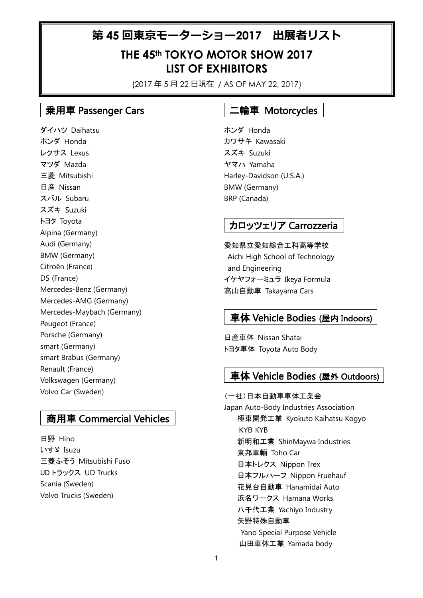# 第 **45** 回東京モーターショー**2017** 出展者リスト

# **THE 45th TOKYO MOTOR SHOW 2017 LIST OF EXHIBITORS**

(2017 年 5 月 22 日現在 / AS OF MAY 22, 2017)

### 乗用車 Passenger Cars

ダイハツ Daihatsu ホンダ Honda レクサス Lexus マツダ Mazda 三菱 Mitsubishi 日産 Nissan スバル Subaru スズキ Suzuki トヨタ Toyota Alpina (Germany) Audi (Germany) BMW (Germany) Citroën (France) DS (France) Mercedes-Benz (Germany) Mercedes-AMG (Germany) Mercedes-Maybach (Germany) Peugeot (France) Porsche (Germany) smart (Germany) smart Brabus (Germany) Renault (France) Volkswagen (Germany) Volvo Car (Sweden)

#### 商用車 Commercial Vehicles

日野 Hino いすゞ Isuzu 三菱ふそう Mitsubishi Fuso UD トラックス UD Trucks Scania (Sweden) Volvo Trucks (Sweden)

#### 二輪車 Motorcycles

ホンダ Honda カワサキ Kawasaki スズキ Suzuki ヤマハ Yamaha Harley-Davidson (U.S.A.) BMW (Germany) BRP (Canada)

## カロッツェリア Carrozzeria

愛知県立愛知総合工科高等学校 Aichi High School of Technology and Engineering イケヤフォーミュラ Ikeya Formula 高山自動車 Takayama Cars

#### 車体 Vehicle Bodies (屋内 Indoors)

日産車体 Nissan Shatai トヨタ車体 Toyota Auto Body

#### 車体 Vehicle Bodies (屋外 Outdoors)

(一社)日本自動車車体工業会 Japan Auto-Body Industries Association 極東開発工業 Kyokuto Kaihatsu Kogyo KYB KYB 新明和工業 ShinMaywa Industries 東邦車輛 Toho Car 日本トレクス Nippon Trex 日本フルハーフ Nippon Fruehauf 花見台自動車 Hanamidai Auto 浜名ワークス Hamana Works 八千代工業 Yachiyo Industry 矢野特殊自動車 Yano Special Purpose Vehicle 山田車体工業 Yamada body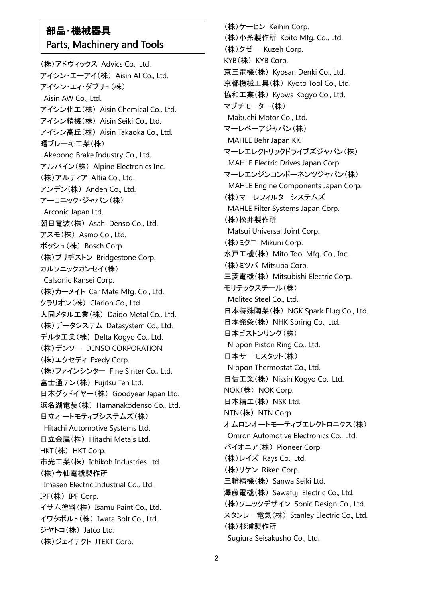## 部品・機械器具 Parts, Machinery and Tools

(株)アドヴィックス Advics Co., Ltd. アイシン・エーアイ(株) Aisin AI Co., Ltd. アイシン・エィ・ダブリュ(株) Aisin AW Co., Ltd. アイシン化工(株) Aisin Chemical Co., Ltd. アイシン精機(株) Aisin Seiki Co., Ltd. アイシン高丘(株) Aisin Takaoka Co., Ltd. 曙ブレーキ工業(株) Akebono Brake Industry Co., Ltd. アルパイン(株) Alpine Electronics Inc. (株)アルティア Altia Co., Ltd. アンデン(株) Anden Co., Ltd. アーコニック・ジャパン(株) Arconic Japan Ltd. 朝日電装(株) Asahi Denso Co., Ltd. アスモ(株) Asmo Co., Ltd. ボッシュ(株) Bosch Corp. (株)ブリヂストン Bridgestone Corp. カルソニックカンセイ(株) Calsonic Kansei Corp. (株)カーメイト Car Mate Mfg. Co., Ltd. クラリオン(株) Clarion Co., Ltd. 大同メタル工業(株) Daido Metal Co., Ltd. (株)データシステム Datasystem Co., Ltd. デルタ工業(株) Delta Kogyo Co., Ltd. (株)デンソー DENSO CORPORATION (株)エクセディ Exedy Corp. (株)ファインシンター Fine Sinter Co., Ltd. 富士通テン(株) Fujitsu Ten Ltd. 日本グッドイヤー(株) Goodyear Japan Ltd. 浜名湖電装(株) Hamanakodenso Co., Ltd. 日立オートモティブシステムズ(株) Hitachi Automotive Systems Ltd. 日立金属(株) Hitachi Metals Ltd. HKT(株) HKT Corp. 市光工業(株) Ichikoh Industries Ltd. (株)今仙電機製作所 Imasen Electric Industrial Co., Ltd. IPF(株) IPF Corp. イサム塗料(株) Isamu Paint Co., Ltd. イワタボルト(株) Iwata Bolt Co., Ltd. ジヤトコ(株) Jatco Ltd. (株)ジェイテクト JTEKT Corp.

(株)ケーヒン Keihin Corp. (株)小糸製作所 Koito Mfg. Co., Ltd. (株)クゼー Kuzeh Corp. KYB(株) KYB Corp. 京三電機(株) Kyosan Denki Co., Ltd. 京都機械工具(株) Kyoto Tool Co., Ltd. 協和工業(株) Kyowa Kogyo Co., Ltd. マブチモーター(株) Mabuchi Motor Co., Ltd. マーレベーアジャパン(株) MAHLE Behr Japan KK マーレエレクトリックドライブズジャパン(株) MAHLE Electric Drives Japan Corp. マーレエンジンコンポーネンツジャパン(株) MAHLE Engine Components Japan Corp. (株)マーレフィルターシステムズ MAHLE Filter Systems Japan Corp. (株)松井製作所 Matsui Universal Joint Corp. (株)ミクニ Mikuni Corp. 水戸工機(株) Mito Tool Mfg. Co., Inc. (株)ミツバ Mitsuba Corp. 三菱電機(株) Mitsubishi Electric Corp. モリテックスチール(株) Molitec Steel Co., Ltd. 日本特殊陶業(株) NGK Spark Plug Co., Ltd. 日本発条(株) NHK Spring Co., Ltd. 日本ピストンリング(株) Nippon Piston Ring Co., Ltd. 日本サーモスタット(株) Nippon Thermostat Co., Ltd. 日信工業(株) Nissin Kogyo Co., Ltd. NOK(株) NOK Corp. 日本精工(株) NSK Ltd. NTN(株) NTN Corp. オムロンオートモーティブエレクトロニクス(株) Omron Automotive Electronics Co., Ltd. パイオニア(株) Pioneer Corp. (株)レイズ Rays Co., Ltd. (株)リケン Riken Corp. 三輪精機(株) Sanwa Seiki Ltd. 澤藤電機(株) Sawafuji Electric Co., Ltd. (株)ソニックデザイン Sonic Design Co., Ltd. スタンレー電気(株) Stanley Electric Co., Ltd. (株)杉浦製作所 Sugiura Seisakusho Co., Ltd.